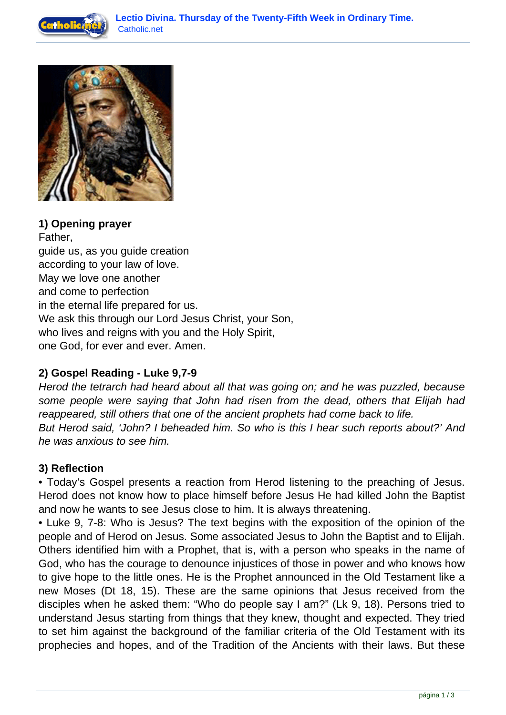



# **1) Opening prayer**

Father, guide us, as you guide creation according to your law of love. May we love one another and come to perfection in the eternal life prepared for us. We ask this through our Lord Jesus Christ, your Son, who lives and reigns with you and the Holy Spirit, one God, for ever and ever. Amen.

### **2) Gospel Reading - Luke 9,7-9**

Herod the tetrarch had heard about all that was going on; and he was puzzled, because some people were saying that John had risen from the dead, others that Elijah had reappeared, still others that one of the ancient prophets had come back to life. But Herod said, 'John? I beheaded him. So who is this I hear such reports about?' And he was anxious to see him.

### **3) Reflection**

• Today's Gospel presents a reaction from Herod listening to the preaching of Jesus. Herod does not know how to place himself before Jesus He had killed John the Baptist and now he wants to see Jesus close to him. It is always threatening.

• Luke 9, 7-8: Who is Jesus? The text begins with the exposition of the opinion of the people and of Herod on Jesus. Some associated Jesus to John the Baptist and to Elijah. Others identified him with a Prophet, that is, with a person who speaks in the name of God, who has the courage to denounce injustices of those in power and who knows how to give hope to the little ones. He is the Prophet announced in the Old Testament like a new Moses (Dt 18, 15). These are the same opinions that Jesus received from the disciples when he asked them: "Who do people say I am?" (Lk 9, 18). Persons tried to understand Jesus starting from things that they knew, thought and expected. They tried to set him against the background of the familiar criteria of the Old Testament with its prophecies and hopes, and of the Tradition of the Ancients with their laws. But these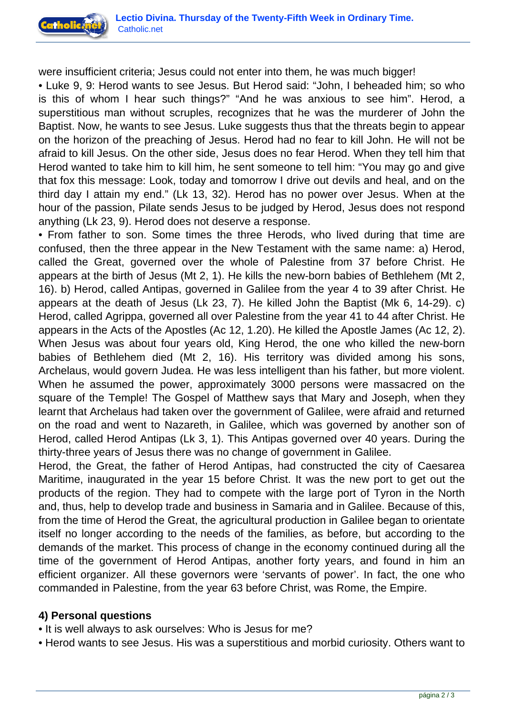

were insufficient criteria; Jesus could not enter into them, he was much bigger!

• Luke 9, 9: Herod wants to see Jesus. But Herod said: "John, I beheaded him; so who is this of whom I hear such things?" "And he was anxious to see him". Herod, a superstitious man without scruples, recognizes that he was the murderer of John the Baptist. Now, he wants to see Jesus. Luke suggests thus that the threats begin to appear on the horizon of the preaching of Jesus. Herod had no fear to kill John. He will not be afraid to kill Jesus. On the other side, Jesus does no fear Herod. When they tell him that Herod wanted to take him to kill him, he sent someone to tell him: "You may go and give that fox this message: Look, today and tomorrow I drive out devils and heal, and on the third day I attain my end." (Lk 13, 32). Herod has no power over Jesus. When at the hour of the passion, Pilate sends Jesus to be judged by Herod, Jesus does not respond anything (Lk 23, 9). Herod does not deserve a response.

• From father to son. Some times the three Herods, who lived during that time are confused, then the three appear in the New Testament with the same name: a) Herod, called the Great, governed over the whole of Palestine from 37 before Christ. He appears at the birth of Jesus (Mt 2, 1). He kills the new-born babies of Bethlehem (Mt 2, 16). b) Herod, called Antipas, governed in Galilee from the year 4 to 39 after Christ. He appears at the death of Jesus (Lk 23, 7). He killed John the Baptist (Mk 6, 14-29). c) Herod, called Agrippa, governed all over Palestine from the year 41 to 44 after Christ. He appears in the Acts of the Apostles (Ac 12, 1.20). He killed the Apostle James (Ac 12, 2). When Jesus was about four years old, King Herod, the one who killed the new-born babies of Bethlehem died (Mt 2, 16). His territory was divided among his sons, Archelaus, would govern Judea. He was less intelligent than his father, but more violent. When he assumed the power, approximately 3000 persons were massacred on the square of the Temple! The Gospel of Matthew says that Mary and Joseph, when they learnt that Archelaus had taken over the government of Galilee, were afraid and returned on the road and went to Nazareth, in Galilee, which was governed by another son of Herod, called Herod Antipas (Lk 3, 1). This Antipas governed over 40 years. During the thirty-three years of Jesus there was no change of government in Galilee.

Herod, the Great, the father of Herod Antipas, had constructed the city of Caesarea Maritime, inaugurated in the year 15 before Christ. It was the new port to get out the products of the region. They had to compete with the large port of Tyron in the North and, thus, help to develop trade and business in Samaria and in Galilee. Because of this, from the time of Herod the Great, the agricultural production in Galilee began to orientate itself no longer according to the needs of the families, as before, but according to the demands of the market. This process of change in the economy continued during all the time of the government of Herod Antipas, another forty years, and found in him an efficient organizer. All these governors were 'servants of power'. In fact, the one who commanded in Palestine, from the year 63 before Christ, was Rome, the Empire.

### **4) Personal questions**

- It is well always to ask ourselves: Who is Jesus for me?
- Herod wants to see Jesus. His was a superstitious and morbid curiosity. Others want to